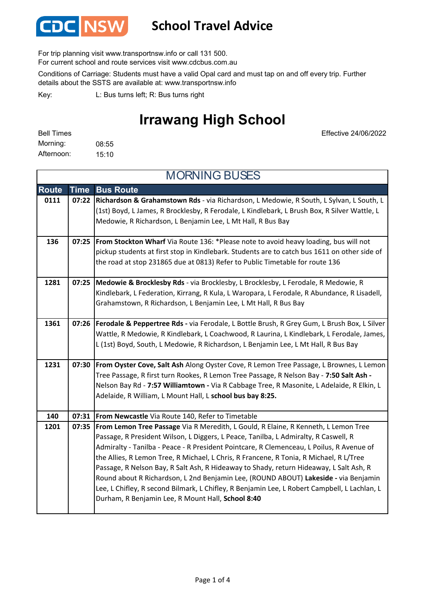

#### **School Travel Advice**

For trip planning visit www.transportnsw.info or call 131 500.

For current school and route services visit www.cdcbus.com.au

Conditions of Carriage: Students must have a valid Opal card and must tap on and off every trip. Further details about the SSTS are available at: www.transportnsw.info

L: Bus turns left; R: Bus turns right Key:

### **Irrawang High School**

| <b>Bell Times</b> |       |
|-------------------|-------|
| Morning:          | 08:55 |
| Afternoon:        | 15:10 |

Effective 24/06/2022

| <b>MORNING BUSES</b> |             |                                                                                                                                                                                                                                                                                                                                                                                                                                                                                                                                                                                                                                                                                                       |
|----------------------|-------------|-------------------------------------------------------------------------------------------------------------------------------------------------------------------------------------------------------------------------------------------------------------------------------------------------------------------------------------------------------------------------------------------------------------------------------------------------------------------------------------------------------------------------------------------------------------------------------------------------------------------------------------------------------------------------------------------------------|
| <b>Route</b>         | <b>Time</b> | <b>Bus Route</b>                                                                                                                                                                                                                                                                                                                                                                                                                                                                                                                                                                                                                                                                                      |
| 0111                 | 07:22       | Richardson & Grahamstown Rds - via Richardson, L Medowie, R South, L Sylvan, L South, L<br>(1st) Boyd, L James, R Brocklesby, R Ferodale, L Kindlebark, L Brush Box, R Silver Wattle, L<br>Medowie, R Richardson, L Benjamin Lee, L Mt Hall, R Bus Bay                                                                                                                                                                                                                                                                                                                                                                                                                                                |
| 136                  | 07:25       | From Stockton Wharf Via Route 136: *Please note to avoid heavy loading, bus will not<br>pickup students at first stop in Kindlebark. Students are to catch bus 1611 on other side of<br>the road at stop 231865 due at 0813) Refer to Public Timetable for route 136                                                                                                                                                                                                                                                                                                                                                                                                                                  |
| 1281                 | 07:25       | Medowie & Brocklesby Rds - via Brocklesby, L Brocklesby, L Ferodale, R Medowie, R<br>Kindlebark, L Federation, Kirrang, R Kula, L Waropara, L Ferodale, R Abundance, R Lisadell,<br>Grahamstown, R Richardson, L Benjamin Lee, L Mt Hall, R Bus Bay                                                                                                                                                                                                                                                                                                                                                                                                                                                   |
| 1361                 | 07:26       | Ferodale & Peppertree Rds - via Ferodale, L Bottle Brush, R Grey Gum, L Brush Box, L Silver<br>Wattle, R Medowie, R Kindlebark, L Coachwood, R Laurina, L Kindlebark, L Ferodale, James,<br>L (1st) Boyd, South, L Medowie, R Richardson, L Benjamin Lee, L Mt Hall, R Bus Bay                                                                                                                                                                                                                                                                                                                                                                                                                        |
| 1231                 | 07:30       | From Oyster Cove, Salt Ash Along Oyster Cove, R Lemon Tree Passage, L Brownes, L Lemon<br>Tree Passage, R first turn Rookes, R Lemon Tree Passage, R Nelson Bay - 7:50 Salt Ash -<br>Nelson Bay Rd - 7:57 Williamtown - Via R Cabbage Tree, R Masonite, L Adelaide, R Elkin, L<br>Adelaide, R William, L Mount Hall, L school bus bay 8:25.                                                                                                                                                                                                                                                                                                                                                           |
| 140                  | 07:31       | From Newcastle Via Route 140, Refer to Timetable                                                                                                                                                                                                                                                                                                                                                                                                                                                                                                                                                                                                                                                      |
| 1201                 | 07:35       | From Lemon Tree Passage Via R Meredith, L Gould, R Elaine, R Kenneth, L Lemon Tree<br>Passage, R President Wilson, L Diggers, L Peace, Tanilba, L Admiralty, R Caswell, R<br>Admiralty - Tanilba - Peace - R President Pointcare, R Clemenceau, L Poilus, R Avenue of<br>the Allies, R Lemon Tree, R Michael, L Chris, R Francene, R Tonia, R Michael, R L/Tree<br>Passage, R Nelson Bay, R Salt Ash, R Hideaway to Shady, return Hideaway, L Salt Ash, R<br>Round about R Richardson, L 2nd Benjamin Lee, (ROUND ABOUT) Lakeside - via Benjamin<br>Lee, L Chifley, R second Bilmark, L Chifley, R Benjamin Lee, L Robert Campbell, L Lachlan, L<br>Durham, R Benjamin Lee, R Mount Hall, School 8:40 |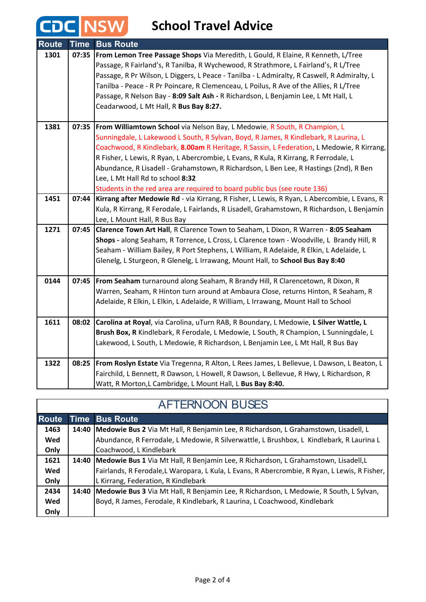# **CDC** NSW School Travel Advice

| <b>Route</b> | <b>Time</b> | <b>Bus Route</b>                                                                            |
|--------------|-------------|---------------------------------------------------------------------------------------------|
| 1301         | 07:35       | From Lemon Tree Passage Shops Via Meredith, L Gould, R Elaine, R Kenneth, L/Tree            |
|              |             | Passage, R Fairland's, R Tanilba, R Wychewood, R Strathmore, L Fairland's, R L/Tree         |
|              |             | Passage, R Pr Wilson, L Diggers, L Peace - Tanilba - L Admiralty, R Caswell, R Admiralty, L |
|              |             | Tanilba - Peace - R Pr Poincare, R Clemenceau, L Poilus, R Ave of the Allies, R L/Tree      |
|              |             | Passage, R Nelson Bay - 8:09 Salt Ash - R Richardson, L Benjamin Lee, L Mt Hall, L          |
|              |             | Ceadarwood, L Mt Hall, R Bus Bay 8:27.                                                      |
|              |             |                                                                                             |
| 1381         |             | 07:35   From Williamtown School via Nelson Bay, L Medowie, R South, R Champion, L           |
|              |             | Sunningdale, L Lakewood L South, R Sylvan, Boyd, R James, R Kindlebark, R Laurina, L        |
|              |             | Coachwood, R Kindlebark, 8.00am R Heritage, R Sassin, L Federation, L Medowie, R Kirrang,   |
|              |             | R Fisher, L Lewis, R Ryan, L Abercrombie, L Evans, R Kula, R Kirrang, R Ferrodale, L        |
|              |             | Abundance, R Lisadell - Grahamstown, R Richardson, L Ben Lee, R Hastings (2nd), R Ben       |
|              |             | Lee, L Mt Hall Rd to school 8:32                                                            |
|              |             | Students in the red area are required to board public bus (see route 136)                   |
| 1451         | 07:44       | Kirrang after Medowie Rd - via Kirrang, R Fisher, L Lewis, R Ryan, L Abercombie, L Evans, R |
|              |             | Kula, R Kirrang, R Ferodale, L Fairlands, R Lisadell, Grahamstown, R Richardson, L Benjamin |
|              |             | Lee, L Mount Hall, R Bus Bay                                                                |
| 1271         | 07:45       | Clarence Town Art Hall, R Clarence Town to Seaham, L Dixon, R Warren - 8:05 Seaham          |
|              |             | Shops - along Seaham, R Torrence, L Cross, L Clarence town - Woodville, L Brandy Hill, R    |
|              |             | Seaham - William Bailey, R Port Stephens, L William, R Adelaide, R Elkin, L Adelaide, L     |
|              |             | Glenelg, L Sturgeon, R Glenelg, L Irrawang, Mount Hall, to School Bus Bay 8:40              |
| 0144         |             | 07:45   From Seaham turnaround along Seaham, R Brandy Hill, R Clarencetown, R Dixon, R      |
|              |             | Warren, Seaham, R Hinton turn around at Ambaura Close, returns Hinton, R Seaham, R          |
|              |             | Adelaide, R Elkin, L Elkin, L Adelaide, R William, L Irrawang, Mount Hall to School         |
|              |             |                                                                                             |
| 1611         | 08:02       | Carolina at Royal, via Carolina, uTurn RAB, R Boundary, L Medowie, L Silver Wattle, L       |
|              |             | Brush Box, R Kindlebark, R Ferodale, L Medowie, L South, R Champion, L Sunningdale, L       |
|              |             | Lakewood, L South, L Medowie, R Richardson, L Benjamin Lee, L Mt Hall, R Bus Bay            |
| 1322         | 08:25       | From Roslyn Estate Via Tregenna, R Alton, L Rees James, L Bellevue, L Dawson, L Beaton, L   |
|              |             | Fairchild, L Bennett, R Dawson, L Howell, R Dawson, L Bellevue, R Hwy, L Richardson, R      |
|              |             | Watt, R Morton, L Cambridge, L Mount Hall, L Bus Bay 8:40.                                  |

| <b>AFTERNOON BUSES</b> |             |                                                                                               |
|------------------------|-------------|-----------------------------------------------------------------------------------------------|
| <b>Route</b>           | <b>Time</b> | <b>Bus Route</b>                                                                              |
| 1463                   |             | 14:40   Medowie Bus 2 Via Mt Hall, R Benjamin Lee, R Richardson, L Grahamstown, Lisadell, L   |
| Wed                    |             | Abundance, R Ferrodale, L Medowie, R Silverwattle, L Brushbox, L Kindlebark, R Laurina L      |
| Only                   |             | Coachwood, L Kindlebark                                                                       |
| 1621                   |             | 14:40   Medowie Bus 1 Via Mt Hall, R Benjamin Lee, R Richardson, L Grahamstown, Lisadell, L   |
| Wed                    |             | Fairlands, R Ferodale, L Waropara, L Kula, L Evans, R Abercrombie, R Ryan, L Lewis, R Fisher, |
| Only                   |             | L Kirrang, Federation, R Kindlebark                                                           |
| 2434                   | 14:40       | Medowie Bus 3 Via Mt Hall, R Benjamin Lee, R Richardson, L Medowie, R South, L Sylvan,        |
| Wed                    |             | Boyd, R James, Ferodale, R Kindlebark, R Laurina, L Coachwood, Kindlebark                     |
| Only                   |             |                                                                                               |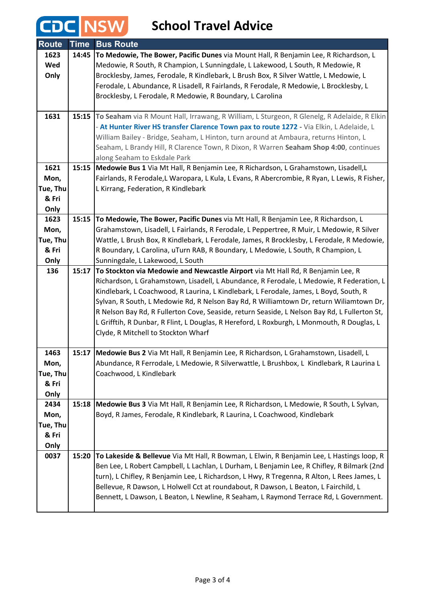# **CDC** NSW School Travel Advice

| <b>Route</b> | <b>Time</b> | <b>Bus Route</b>                                                                                                                                                                    |
|--------------|-------------|-------------------------------------------------------------------------------------------------------------------------------------------------------------------------------------|
| 1623         | 14:45       | To Medowie, The Bower, Pacific Dunes via Mount Hall, R Benjamin Lee, R Richardson, L                                                                                                |
| Wed          |             | Medowie, R South, R Champion, L Sunningdale, L Lakewood, L South, R Medowie, R                                                                                                      |
| Only         |             | Brocklesby, James, Ferodale, R Kindlebark, L Brush Box, R Silver Wattle, L Medowie, L                                                                                               |
|              |             | Ferodale, L Abundance, R Lisadell, R Fairlands, R Ferodale, R Medowie, L Brocklesby, L                                                                                              |
|              |             | Brocklesby, L Ferodale, R Medowie, R Boundary, L Carolina                                                                                                                           |
|              |             |                                                                                                                                                                                     |
| 1631         | 15:15       | To Seaham via R Mount Hall, Irrawang, R William, L Sturgeon, R Glenelg, R Adelaide, R Elkin                                                                                         |
|              |             | - At Hunter River HS transfer Clarence Town pax to route 1272 - Via Elkin, L Adelaide, L                                                                                            |
|              |             | William Bailey - Bridge, Seaham, L Hinton, turn around at Ambaura, returns Hinton, L                                                                                                |
|              |             | Seaham, L Brandy Hill, R Clarence Town, R Dixon, R Warren Seaham Shop 4:00, continues                                                                                               |
| 1621         |             | along Seaham to Eskdale Park                                                                                                                                                        |
| Mon,         | 15:15       | Medowie Bus 1 Via Mt Hall, R Benjamin Lee, R Richardson, L Grahamstown, Lisadell, L<br>Fairlands, R Ferodale,L Waropara, L Kula, L Evans, R Abercrombie, R Ryan, L Lewis, R Fisher, |
| Tue, Thu     |             | L Kirrang, Federation, R Kindlebark                                                                                                                                                 |
| & Fri        |             |                                                                                                                                                                                     |
| Only         |             |                                                                                                                                                                                     |
| 1623         | 15:15       | To Medowie, The Bower, Pacific Dunes via Mt Hall, R Benjamin Lee, R Richardson, L                                                                                                   |
| Mon,         |             | Grahamstown, Lisadell, L Fairlands, R Ferodale, L Peppertree, R Muir, L Medowie, R Silver                                                                                           |
| Tue, Thu     |             | Wattle, L Brush Box, R Kindlebark, L Ferodale, James, R Brocklesby, L Ferodale, R Medowie,                                                                                          |
| & Fri        |             | R Boundary, L Carolina, uTurn RAB, R Boundary, L Medowie, L South, R Champion, L                                                                                                    |
| Only         |             | Sunningdale, L Lakewood, L South                                                                                                                                                    |
| 136          | 15:17       | To Stockton via Medowie and Newcastle Airport via Mt Hall Rd, R Benjamin Lee, R                                                                                                     |
|              |             | Richardson, L Grahamstown, Lisadell, L Abundance, R Ferodale, L Medowie, R Federation, L                                                                                            |
|              |             | Kindlebark, L Coachwood, R Laurina, L Kindlebark, L Ferodale, James, L Boyd, South, R                                                                                               |
|              |             | Sylvan, R South, L Medowie Rd, R Nelson Bay Rd, R Williamtown Dr, return Wiliamtown Dr,                                                                                             |
|              |             | R Nelson Bay Rd, R Fullerton Cove, Seaside, return Seaside, L Nelson Bay Rd, L Fullerton St,                                                                                        |
|              |             | L Grifftih, R Dunbar, R Flint, L Douglas, R Hereford, L Roxburgh, L Monmouth, R Douglas, L                                                                                          |
|              |             | Clyde, R Mitchell to Stockton Wharf                                                                                                                                                 |
| 1463         |             | 15:17 Medowie Bus 2 Via Mt Hall, R Benjamin Lee, R Richardson, L Grahamstown, Lisadell, L                                                                                           |
| Mon,         |             | Abundance, R Ferrodale, L Medowie, R Silverwattle, L Brushbox, L Kindlebark, R Laurina L                                                                                            |
| Tue, Thu     |             | Coachwood, L Kindlebark                                                                                                                                                             |
| & Fri        |             |                                                                                                                                                                                     |
| Only         |             |                                                                                                                                                                                     |
| 2434         | 15:18       | Medowie Bus 3 Via Mt Hall, R Benjamin Lee, R Richardson, L Medowie, R South, L Sylvan,                                                                                              |
| Mon,         |             | Boyd, R James, Ferodale, R Kindlebark, R Laurina, L Coachwood, Kindlebark                                                                                                           |
| Tue, Thu     |             |                                                                                                                                                                                     |
| & Fri        |             |                                                                                                                                                                                     |
| Only         |             |                                                                                                                                                                                     |
| 0037         | 15:20       | To Lakeside & Bellevue Via Mt Hall, R Bowman, L Elwin, R Benjamin Lee, L Hastings loop, R                                                                                           |
|              |             | Ben Lee, L Robert Campbell, L Lachlan, L Durham, L Benjamin Lee, R Chifley, R Bilmark (2nd                                                                                          |
|              |             | turn), L Chifley, R Benjamin Lee, L Richardson, L Hwy, R Tregenna, R Alton, L Rees James, L                                                                                         |
|              |             | Bellevue, R Dawson, L Holwell Cct at roundabout, R Dawson, L Beaton, L Fairchild, L                                                                                                 |
|              |             | Bennett, L Dawson, L Beaton, L Newline, R Seaham, L Raymond Terrace Rd, L Government.                                                                                               |
|              |             |                                                                                                                                                                                     |